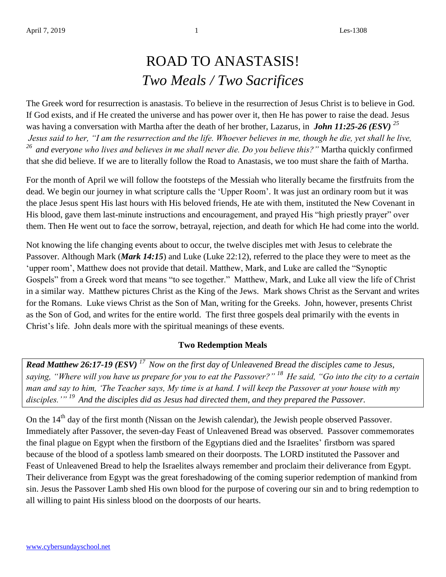## ROAD TO ANASTASIS! *Two Meals / Two Sacrifices*

The Greek word for resurrection is anastasis. To believe in the resurrection of Jesus Christ is to believe in God. If God exists, and if He created the universe and has power over it, then He has power to raise the dead. Jesus was having a conversation with Martha after the death of her brother, Lazarus, in *John 11:25-26 (ESV) <sup>25</sup> Jesus said to her, "I am the resurrection and the life. Whoever believes in me, though he die, yet shall he live, <sup>26</sup>and everyone who lives and believes in me shall never die. Do you believe this?"* Martha quickly confirmed that she did believe. If we are to literally follow the Road to Anastasis, we too must share the faith of Martha.

For the month of April we will follow the footsteps of the Messiah who literally became the firstfruits from the dead. We begin our journey in what scripture calls the 'Upper Room'. It was just an ordinary room but it was the place Jesus spent His last hours with His beloved friends, He ate with them, instituted the New Covenant in His blood, gave them last-minute instructions and encouragement, and prayed His "high priestly prayer" over them. Then He went out to face the sorrow, betrayal, rejection, and death for which He had come into the world.

Not knowing the life changing events about to occur, the twelve disciples met with Jesus to celebrate the Passover. Although Mark (*Mark 14:15*) and Luke (Luke 22:12), referred to the place they were to meet as the 'upper room', Matthew does not provide that detail. Matthew, Mark, and Luke are called the "Synoptic Gospels" from a Greek word that means "to see together." Matthew, Mark, and Luke all view the life of Christ in a similar way. Matthew pictures Christ as the King of the Jews. Mark shows Christ as the Servant and writes for the Romans. Luke views Christ as the Son of Man, writing for the Greeks. John, however, presents Christ as the Son of God, and writes for the entire world. The first three gospels deal primarily with the events in Christ's life. John deals more with the spiritual meanings of these events.

## **Two Redemption Meals**

*Read Matthew 26:17-19 (ESV) <sup>17</sup>Now on the first day of Unleavened Bread the disciples came to Jesus, saying, "Where will you have us prepare for you to eat the Passover?" <sup>18</sup>He said, "Go into the city to a certain man and say to him, 'The Teacher says, My time is at hand. I will keep the Passover at your house with my disciples.'" <sup>19</sup>And the disciples did as Jesus had directed them, and they prepared the Passover.*

On the 14<sup>th</sup> day of the first month (Nissan on the Jewish calendar), the Jewish people observed Passover. Immediately after Passover, the seven-day Feast of Unleavened Bread was observed. Passover commemorates the final plague on Egypt when the firstborn of the Egyptians died and the Israelites' firstborn was spared because of the blood of a spotless lamb smeared on their doorposts. The LORD instituted the Passover and Feast of Unleavened Bread to help the Israelites always remember and proclaim their deliverance from Egypt. Their deliverance from Egypt was the great foreshadowing of the coming superior redemption of mankind from sin. Jesus the Passover Lamb shed His own blood for the purpose of covering our sin and to bring redemption to all willing to paint His sinless blood on the doorposts of our hearts.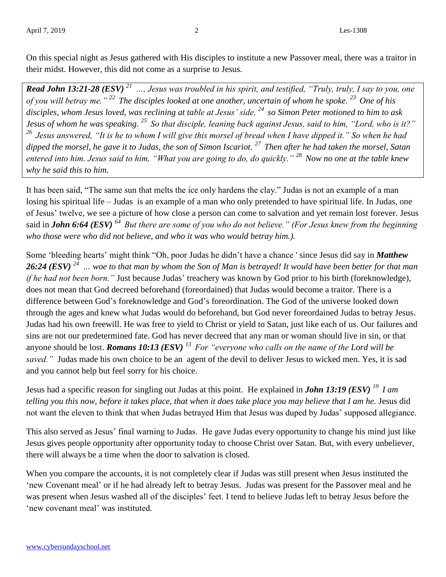On this special night as Jesus gathered with His disciples to institute a new Passover meal, there was a traitor in their midst. However, this did not come as a surprise to Jesus.

*Read John 13:21-28 (ESV) <sup>21</sup>…, Jesus was troubled in his spirit, and testified, "Truly, truly, I say to you, one of you will betray me." <sup>22</sup>The disciples looked at one another, uncertain of whom he spoke. <sup>23</sup>One of his disciples, whom Jesus loved, was reclining at table at Jesus' side, <sup>24</sup>so Simon Peter motioned to him to ask Jesus of whom he was speaking. <sup>25</sup>So that disciple, leaning back against Jesus, said to him, "Lord, who is it?" <sup>26</sup>Jesus answered, "It is he to whom I will give this morsel of bread when I have dipped it." So when he had dipped the morsel, he gave it to Judas, the son of Simon Iscariot. <sup>27</sup>Then after he had taken the morsel, Satan entered into him. Jesus said to him, "What you are going to do, do quickly." <sup>28</sup>Now no one at the table knew why he said this to him.* 

It has been said, "The same sun that melts the ice only hardens the clay." Judas is not an example of a man losing his spiritual life – Judas is an example of a man who only pretended to have spiritual life. In Judas, one of Jesus' twelve, we see a picture of how close a person can come to salvation and yet remain lost forever. Jesus said in *John 6:64 (ESV)* <sup>64</sup> *But there are some of you who do not believe." (For Jesus knew from the beginning who those were who did not believe, and who it was who would betray him.).*

Some 'bleeding hearts' might think "Oh, poor Judas he didn't have a chance ' since Jesus did say in *Matthew 26:24 (ESV) <sup>24</sup>… woe to that man by whom the Son of Man is betrayed! It would have been better for that man if he had not been born."* Just because Judas' treachery was known by God prior to his birth (foreknowledge), does not mean that God decreed beforehand (foreordained) that Judas would become a traitor. There is a difference between God's foreknowledge and God's foreordination. The God of the universe looked down through the ages and knew what Judas would do beforehand, but God never foreordained Judas to betray Jesus. Judas had his own freewill. He was free to yield to Christ or yield to Satan, just like each of us. Our failures and sins are not our predetermined fate. God has never decreed that any man or woman should live in sin, or that anyone should be lost. *Romans 10:13 (ESV) <sup>13</sup>For "everyone who calls on the name of the Lord will be saved."* Judas made his own choice to be an agent of the devil to deliver Jesus to wicked men. Yes, it is sad and you cannot help but feel sorry for his choice.

Jesus had a specific reason for singling out Judas at this point. He explained in *John 13:19 (ESV) <sup>19</sup>I am telling you this now, before it takes place, that when it does take place you may believe that I am he.* Jesus did not want the eleven to think that when Judas betrayed Him that Jesus was duped by Judas' supposed allegiance.

This also served as Jesus' final warning to Judas. He gave Judas every opportunity to change his mind just like Jesus gives people opportunity after opportunity today to choose Christ over Satan. But, with every unbeliever, there will always be a time when the door to salvation is closed.

When you compare the accounts, it is not completely clear if Judas was still present when Jesus instituted the 'new Covenant meal' or if he had already left to betray Jesus. Judas was present for the Passover meal and he was present when Jesus washed all of the disciples' feet. I tend to believe Judas left to betray Jesus before the 'new covenant meal' was instituted.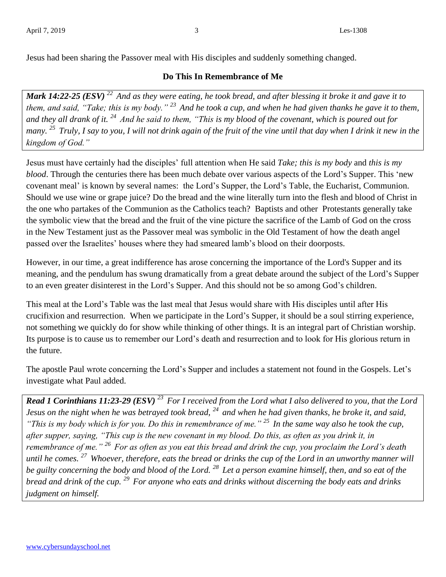Jesus had been sharing the Passover meal with His disciples and suddenly something changed.

## **Do This In Remembrance of Me**

*Mark 14:22-25 (ESV) <sup>22</sup>And as they were eating, he took bread, and after blessing it broke it and gave it to them, and said, "Take; this is my body." <sup>23</sup>And he took a cup, and when he had given thanks he gave it to them, and they all drank of it. <sup>24</sup>And he said to them, "This is my blood of the covenant, which is poured out for many. <sup>25</sup>Truly, I say to you, I will not drink again of the fruit of the vine until that day when I drink it new in the kingdom of God."* 

Jesus must have certainly had the disciples' full attention when He said *Take; this is my body* and *this is my blood*. Through the centuries there has been much debate over various aspects of the Lord's Supper. This 'new covenant meal' is known by several names: the Lord's Supper, the Lord's Table, the Eucharist, Communion. Should we use wine or grape juice? Do the bread and the wine literally turn into the flesh and blood of Christ in the one who partakes of the Communion as the Catholics teach? Baptists and other Protestants generally take the symbolic view that the bread and the fruit of the vine picture the sacrifice of the Lamb of God on the cross in the New Testament just as the Passover meal was symbolic in the Old Testament of how the death angel passed over the Israelites' houses where they had smeared lamb's blood on their doorposts.

However, in our time, a great indifference has arose concerning the importance of the Lord's Supper and its meaning, and the pendulum has swung dramatically from a great debate around the subject of the Lord's Supper to an even greater disinterest in the Lord's Supper. And this should not be so among God's children.

This meal at the Lord's Table was the last meal that Jesus would share with His disciples until after His crucifixion and resurrection. When we participate in the Lord's Supper, it should be a soul stirring experience, not something we quickly do for show while thinking of other things. It is an integral part of Christian worship. Its purpose is to cause us to remember our Lord's death and resurrection and to look for His glorious return in the future.

The apostle Paul wrote concerning the Lord's Supper and includes a statement not found in the Gospels. Let's investigate what Paul added.

*Read 1 Corinthians 11:23-29 (ESV) <sup>23</sup>For I received from the Lord what I also delivered to you, that the Lord Jesus on the night when he was betrayed took bread, <sup>24</sup>and when he had given thanks, he broke it, and said, "This is my body which is for you. Do this in remembrance of me." <sup>25</sup>In the same way also he took the cup, after supper, saying, "This cup is the new covenant in my blood. Do this, as often as you drink it, in remembrance of me." <sup>26</sup>For as often as you eat this bread and drink the cup, you proclaim the Lord's death until he comes. <sup>27</sup>Whoever, therefore, eats the bread or drinks the cup of the Lord in an unworthy manner will be guilty concerning the body and blood of the Lord. <sup>28</sup>Let a person examine himself, then, and so eat of the bread and drink of the cup. <sup>29</sup>For anyone who eats and drinks without discerning the body eats and drinks judgment on himself.*